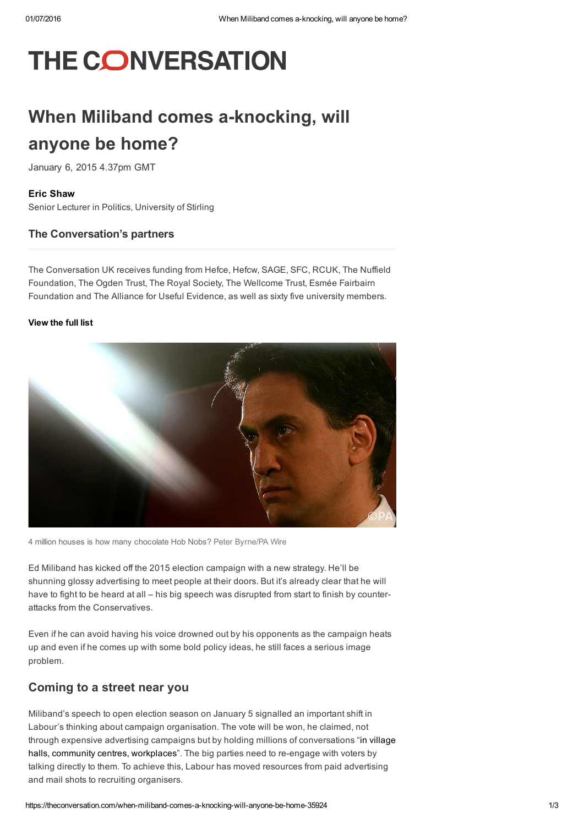# **THE CONVERSATION**

## When Miliband comes a-knocking, will anyone be home?

January 6, 2015 4.37pm GMT

#### Eric [Shaw](https://theconversation.com/profiles/eric-shaw-119503)

Senior Lecturer in Politics, University of Stirling

#### The Conversation's partners

The Conversation UK receives funding from Hefce, Hefcw, SAGE, SFC, RCUK, The Nuffield Foundation, The Ogden Trust, The Royal Society, The Wellcome Trust, Esmée Fairbairn Foundation and The Alliance for Useful Evidence, as well as sixty five university members.

#### [View](https://theconversation.com/uk/partners) the full list



4 million houses is how many chocolate Hob Nobs? Peter Byrne/PA Wire

Ed Miliband has kicked off the 2015 election campaign with a new strategy. He'll be shunning glossy advertising to meet people at their doors. But it's already clear that he will have to fight to be heard at all – his big speech was disrupted from start to finish by counterattacks from the Conservatives.

Even if he can avoid having his voice drowned out by his opponents as the campaign heats up and even if he comes up with some bold policy ideas, he still faces a serious image problem.

### Coming to a street near you

Miliband's speech to open election season on January 5 signalled an important shift in Labour's thinking about campaign organisation. The vote will be won, he claimed, not through expensive advertising campaigns but by holding millions of [conversations](http://www.theguardian.com/politics/2015/jan/05/miliband-labour-election-campaign-4million-conversations) "in village halls, community centres, workplaces". The big parties need to re-engage with voters by talking directly to them. To achieve this, Labour has moved resources from paid advertising and mail shots to recruiting organisers.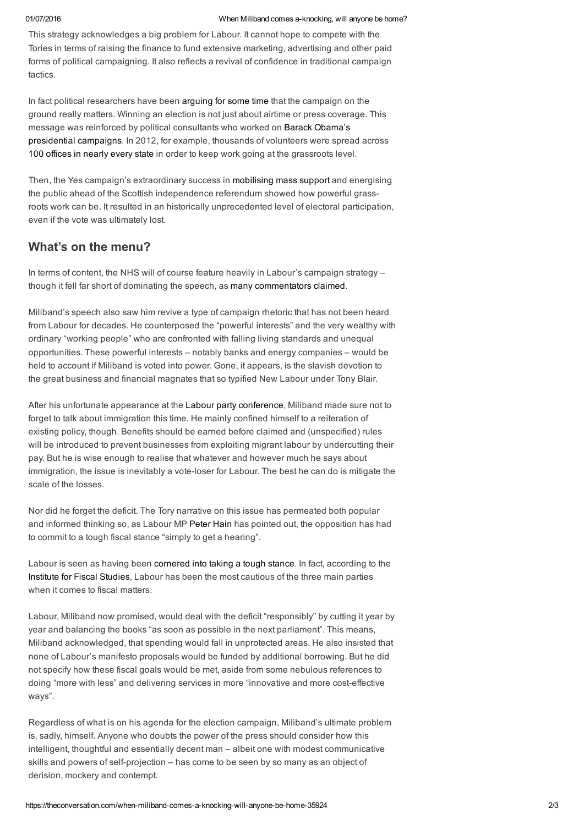This strategy acknowledges a big problem for Labour. It cannot hope to compete with the Tories in terms of raising the finance to fund extensive marketing, advertising and other paid forms of political campaigning. It also reflects a revival of confidence in traditional campaign tactics.

In fact political researchers have been [arguing](http://www.sciencedirect.com/science/article/pii/S0261379402000173) for some time that the campaign on the ground really matters. Winning an election is not just about airtime or press coverage. This message was reinforced by political consultants who worked on Barack Obama's [presidential](http://www.politico.com/news/stories/1112/84080.html) campaigns. In 2012, for example, thousands of volunteers were spread across 100 [offices](http://www.economist.com/node/21552590) in nearly every state in order to keep work going at the grassroots level.

Then, the Yes campaign's extraordinary success in [mobilising](http://www.nytimes.com/2014/09/18/world/europe/scotland-referendum-on-independence.html) mass support and energising the public ahead of the Scottish independence referendum showed how powerful grassroots work can be. It resulted in an historically unprecedented level of electoral participation, even if the vote was ultimately lost.

### What's on the menu?

In terms of content, the NHS will of course feature heavily in Labour's campaign strategy – though it fell far short of dominating the speech, as many [commentators](http://www.theweek.co.uk/politics/61963/morning-one-goes-to-labour-as-nhs-dominates-discussion) claimed.

Miliband's speech also saw him revive a type of campaign rhetoric that has not been heard from Labour for decades. He counterposed the "powerful interests" and the very wealthy with ordinary "working people" who are confronted with falling living standards and unequal opportunities. These powerful interests – notably banks and energy companies – would be held to account if Miliband is voted into power. Gone, it appears, is the slavish devotion to the great business and financial magnates that so typified New Labour under Tony Blair.

After his unfortunate appearance at the Labour party [conference](http://www.independent.co.uk/news/uk/politics/labour-party-conference-a-freudian-slip-ed-miliband-forgets-to-mention-the-bit-about-the-deficit-9751858.html), Miliband made sure not to forget to talk about immigration this time. He mainly confined himself to a reiteration of existing policy, though. Benefits should be earned before claimed and (unspecified) rules will be introduced to prevent businesses from exploiting migrant labour by undercutting their pay. But he is wise enough to realise that whatever and however much he says about immigration, the issue is inevitably a vote-loser for Labour. The best he can do is mitigate the scale of the losses.

Nor did he forget the deficit. The Tory narrative on this issue has permeated both popular and informed thinking so, as Labour MP [Peter](http://www.theguardian.com/commentisfree/2015/jan/05/smaller-state-trouble-deficit-labour-spending) Hain has pointed out, the opposition has had to commit to a tough fiscal stance "simply to get a hearing".

Labour is seen as having been [cornered](http://www.theguardian.com/commentisfree/2015/jan/05/smaller-state-trouble-deficit-labour-spending) into taking a tough stance. In fact, according to the [Institute](http://leftfootforward.org/2015/01/ignore-tory-spin-labours-spending-plans-are-the-most-cautious-according-to-the-ifs/) for Fiscal Studies, Labour has been the most cautious of the three main parties when it comes to fiscal matters.

Labour, Miliband now promised, would deal with the deficit "responsibly" by cutting it year by year and balancing the books "as soon as possible in the next parliament". This means, Miliband acknowledged, that spending would fall in unprotected areas. He also insisted that none of Labour's manifesto proposals would be funded by additional borrowing. But he did not specify how these fiscal goals would be met, aside from some nebulous references to doing "more with less" and delivering services in more "innovative and more costeffective ways".

Regardless of what is on his agenda for the election campaign, Miliband's ultimate problem is, sadly, himself. Anyone who doubts the power of the press should consider how this intelligent, thoughtful and essentially decent man – albeit one with modest communicative skills and powers of self-projection – has come to be seen by so many as an object of derision, mockery and contempt.